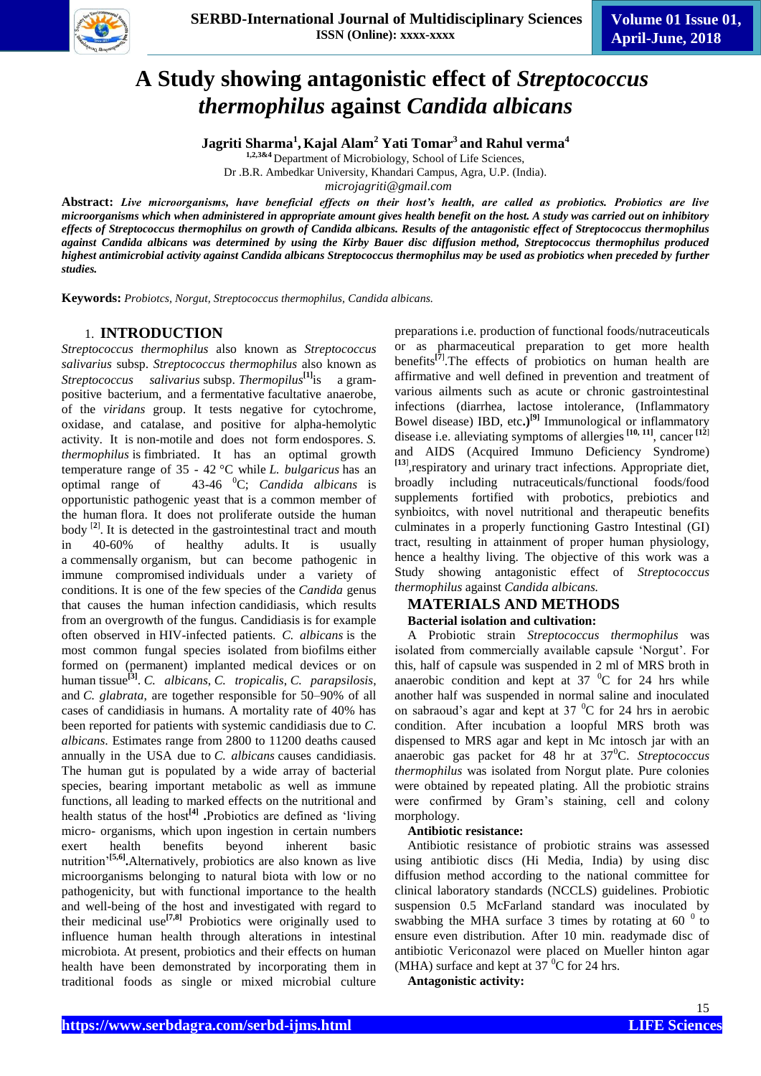

# **A Study showing antagonistic effect of** *Streptococcus thermophilus* **against** *Candida albicans*

**Jagriti Sharma<sup>1</sup> , Kajal Alam<sup>2</sup> Yati Tomar<sup>3</sup> and Rahul verma<sup>4</sup>**

**1,2,3&4** Department of Microbiology, School of Life Sciences,

Dr .B.R. Ambedkar University, Khandari Campus, Agra, U.P. (India).

*microjagriti@gmail.com*

**Abstract:** *Live microorganisms, have beneficial effects on their host's health, are called as probiotics. Probiotics are live microorganisms which when administered in appropriate amount gives health benefit on the host. A study was carried out on inhibitory effects of Streptococcus thermophilus on growth of Candida albicans. Results of the antagonistic effect of Streptococcus thermophilus against Candida albicans was determined by using the Kirby Bauer disc diffusion method, Streptococcus thermophilus produced highest antimicrobial activity against Candida albicans Streptococcus thermophilus may be used as probiotics when preceded by further studies.*

**Keywords:** *Probiotcs, Norgut, Streptococcus thermophilus, Candida albicans.*

# 1. **INTRODUCTION**

*Streptococcus thermophilus* also known as *Streptococcus salivarius* subsp. *Streptococcus thermophilus* also known as *Streptococcus salivarius* subsp. *Thermopilus***[1]**is a grampositive bacterium, and a fermentative facultative anaerobe, of the *viridans* group. It tests negative for cytochrome, oxidase, and catalase, and positive for alpha-hemolytic activity. It is non-motile and does not form endospores. *S. thermophilus* is fimbriated. It has an optimal growth temperature range of 35 - 42 °C while *L. bulgaricus* has an optimal range of 43-46 <sup>0</sup>C; *Candida albicans* is opportunistic pathogenic yeast that is a common member of the human flora. It does not proliferate outside the human body [**2**] . It is detected in the gastrointestinal tract and mouth in 40-60% of healthy adults. It is usually a [commensally](https://en.wikipedia.org/wiki/Commensal) organism, but can become [pathogenic](https://en.wikipedia.org/wiki/Pathogenic) in immune [compromised](https://en.wikipedia.org/wiki/Immunocompromised) individuals under a variety of conditions. It is one of the few species of the *Candida* genus that causes the human infection [candidiasis,](https://en.wikipedia.org/wiki/Candidiasis) which results from an overgrowth of the fungus. Candidiasis is for example often observed in [HIV-](https://en.wikipedia.org/wiki/HIV)infected patients. *C. albicans* is the most common fungal species isolated from [biofilms](https://en.wikipedia.org/wiki/Biofilms) either formed on (permanent) implanted medical devices or on human [tissue](https://en.wikipedia.org/wiki/Tissue_(biology))**[3]** . *C. albicans*, *[C. tropicalis](https://en.wikipedia.org/wiki/Candida_tropicalis)*, *[C. parapsilosis](https://en.wikipedia.org/wiki/Candida_parapsilosis)*, and *[C. glabrata](https://en.wikipedia.org/wiki/Candida_glabrata)*, are together responsible for 50–90% of all cases of candidiasis in humans. A mortality rate of 40% has been reported for patients with systemic candidiasis due to *C. albicans*. Estimates range from 2800 to 11200 deaths caused annually in the USA due to *C. albicans* causes candidiasis. The human gut is populated by a wide array of bacterial species, bearing important metabolic as well as immune functions, all leading to marked effects on the nutritional and health status of the host**[4] .**Probiotics are defined as 'living micro- organisms, which upon ingestion in certain numbers exert health benefits beyond inherent basic nutrition'**[5,6] .**Alternatively, probiotics are also known as live microorganisms belonging to natural biota with low or no pathogenicity, but with functional importance to the health and well-being of the host and investigated with regard to their medicinal use**[7,8]** Probiotics were originally used to influence human health through alterations in intestinal microbiota. At present, probiotics and their effects on human health have been demonstrated by incorporating them in traditional foods as single or mixed microbial culture

preparations i.e. production of functional foods/nutraceuticals or as pharmaceutical preparation to get more health benefits**[7**] .The effects of probiotics on human health are affirmative and well defined in prevention and treatment of various ailments such as acute or chronic gastrointestinal infections (diarrhea, lactose intolerance, (Inflammatory Bowel disease) IBD, etc**.)[9]** Immunological or inflammatory disease i.e. alleviating symptoms of allergies **[10, 11]**, cancer **[12**] and AIDS (Acquired Immuno Deficiency Syndrome) **[13**] ,respiratory and urinary tract infections. Appropriate diet, broadly including nutraceuticals/functional foods/food supplements fortified with probotics, prebiotics and synbioitcs, with novel nutritional and therapeutic benefits culminates in a properly functioning Gastro Intestinal (GI) tract, resulting in attainment of proper human physiology, hence a healthy living. The objective of this work was a Study showing antagonistic effect of *Streptococcus thermophilus* against *Candida albicans.*

#### **MATERIALS AND METHODS Bacterial isolation and cultivation:**

A Probiotic strain *Streptococcus thermophilus* was isolated from commercially available capsule 'Norgut'. For this, half of capsule was suspended in 2 ml of MRS broth in anaerobic condition and kept at  $37\text{ °C}$  for 24 hrs while another half was suspended in normal saline and inoculated on sabraoud's agar and kept at  $37\text{ °C}$  for 24 hrs in aerobic condition. After incubation a loopful MRS broth was dispensed to MRS agar and kept in Mc intosch jar with an anaerobic gas packet for 48 hr at 37<sup>0</sup>C. *Streptococcus thermophilus* was isolated from Norgut plate. Pure colonies were obtained by repeated plating. All the probiotic strains were confirmed by Gram's staining, cell and colony morphology.

#### **Antibiotic resistance:**

Antibiotic resistance of probiotic strains was assessed using antibiotic discs (Hi Media, India) by using disc diffusion method according to the national committee for clinical laboratory standards (NCCLS) guidelines. Probiotic suspension 0.5 McFarland standard was inoculated by swabbing the MHA surface 3 times by rotating at  $60^{-0}$  to ensure even distribution. After 10 min. readymade disc of antibiotic Vericonazol were placed on Mueller hinton agar (MHA) surface and kept at  $37<sup>0</sup>C$  for 24 hrs.

**Antagonistic activity:**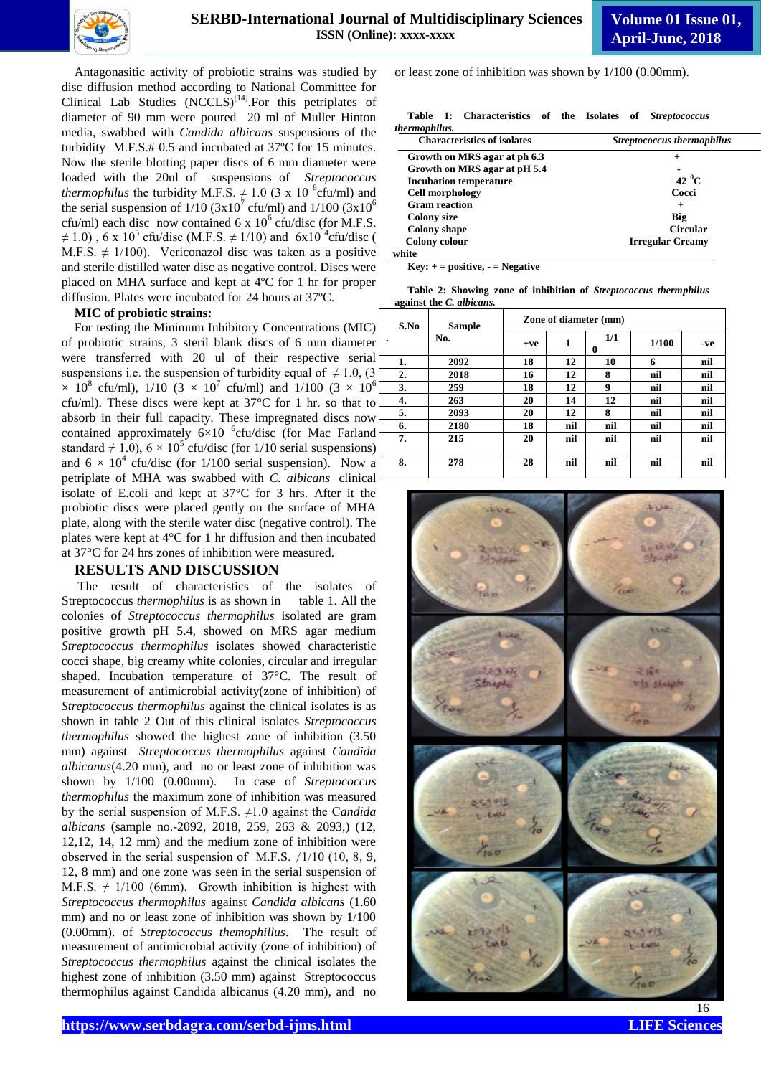

Antagonasitic activity of probiotic strains was studied by disc diffusion method according to National Committee for Clinical Lab Studies  $(NCCLS)^{[14]}$ . For this petriplates of diameter of 90 mm were poured 20 ml of Muller Hinton media, swabbed with *Candida albicans* suspensions of the turbidity M.F.S.# 0.5 and incubated at 37ºC for 15 minutes. Now the sterile blotting paper discs of 6 mm diameter were loaded with the 20ul of suspensions of *Streptococcus thermophilus* the turbidity M.F.S.  $\neq$  1.0 (3 x 10<sup>8</sup> cfu/ml) and the serial suspension of  $1/10$  (3x10<sup>7</sup> cfu/ml) and  $1/100$  (3x10<sup>6</sup>) cfu/ml) each disc now contained  $6 \times 10^6$  cfu/disc (for M.F.S.  $\neq$  1.0), 6 x 10<sup>5</sup> cfu/disc (M.F.S.  $\neq$  1/10) and 6x10<sup>4</sup> cfu/disc ( M.F.S.  $\neq$  1/100). Vericonazol disc was taken as a positive and sterile distilled water disc as negative control. Discs were placed on MHA surface and kept at 4ºC for 1 hr for proper diffusion. Plates were incubated for 24 hours at 37ºC.

#### **MIC of probiotic strains:**

For testing the Minimum Inhibitory Concentrations (MIC) of probiotic strains, 3 steril blank discs of 6 mm diameter were transferred with 20 ul of their respective serial suspensions i.e. the suspension of turbidity equal of  $\neq$  1.0, (3)  $\times$  10<sup>8</sup> cfu/ml), 1/10 (3  $\times$  10<sup>7</sup> cfu/ml) and 1/100 (3  $\times$  10<sup>6</sup> cfu/ml). These discs were kept at 37°C for 1 hr. so that to absorb in their full capacity. These impregnated discs now contained approximately  $6\times10^{-6}$ cfu/disc (for Mac Farland standard  $\neq 1.0$ ),  $6 \times 10^5$  cfu/disc (for 1/10 serial suspensions) and  $6 \times 10^4$  cfu/disc (for 1/100 serial suspension). Now a petriplate of MHA was swabbed with *C. albicans* clinical isolate of E.coli and kept at 37°C for 3 hrs. After it the probiotic discs were placed gently on the surface of MHA plate, along with the sterile water disc (negative control). The plates were kept at 4°C for 1 hr diffusion and then incubated at 37°C for 24 hrs zones of inhibition were measured.

#### **RESULTS AND DISCUSSION**

The result of characteristics of the isolates of Streptococcus *thermophilus* is as shown in table 1. All the colonies of *Streptococcus thermophilus* isolated are gram positive growth pH 5.4, showed on MRS agar medium *Streptococcus thermophilus* isolates showed characteristic cocci shape, big creamy white colonies, circular and irregular shaped. Incubation temperature of 37°C. The result of measurement of antimicrobial activity(zone of inhibition) of *Streptococcus thermophilus* against the clinical isolates is as shown in table 2 Out of this clinical isolates *Streptococcus thermophilus* showed the highest zone of inhibition (3.50 mm) against *Streptococcus thermophilus* against *Candida albicanus*(4.20 mm), and no or least zone of inhibition was shown by 1/100 (0.00mm). In case of *Streptococcus thermophilus* the maximum zone of inhibition was measured by the serial suspension of M.F.S. ≠1.0 against the C*andida albicans* (sample no.-2092, 2018, 259, 263 & 2093,) (12, 12,12, 14, 12 mm) and the medium zone of inhibition were observed in the serial suspension of M.F.S.  $\neq$ 1/10 (10, 8, 9, 12, 8 mm) and one zone was seen in the serial suspension of M.F.S.  $\neq$  1/100 (6mm). Growth inhibition is highest with *Streptococcus thermophilus* against *Candida albicans* (1.60 mm) and no or least zone of inhibition was shown by  $1/100$ (0.00mm). of *Streptococcus themophillus*. The result of measurement of antimicrobial activity (zone of inhibition) of *Streptococcus thermophilus* against the clinical isolates the highest zone of inhibition (3.50 mm) against Streptococcus thermophilus against Candida albicanus (4.20 mm), and no

or least zone of inhibition was shown by 1/100 (0.00mm).

| Table 1: Characteristics of the Isolates | of<br><b>Streptococcus</b>        |  |  |
|------------------------------------------|-----------------------------------|--|--|
| thermophilus.                            |                                   |  |  |
| <b>Characteristics of isolates</b>       | <b>Streptococcus thermophilus</b> |  |  |
| Growth on MRS agar at ph 6.3             | $^{+}$                            |  |  |
| Growth on MRS agar at pH 5.4             |                                   |  |  |
| <b>Incubation temperature</b>            | 42 $^0$ C                         |  |  |
| <b>Cell morphology</b>                   | Cocci                             |  |  |
| <b>Gram</b> reaction                     | $^{+}$                            |  |  |
| <b>Colony size</b>                       | Big                               |  |  |
| <b>Colony shape</b>                      | <b>Circular</b>                   |  |  |
| Colony colour                            | Irregular Creamy                  |  |  |

**white**

**Key: + = positive, - = Negative**

**Table 2: Showing zone of inhibition of** *Streptococcus thermphilus*  **against the** *C. albicans.*

| S.No<br>$\bullet$ | <b>Sample</b><br>No. | Zone of diameter (mm) |     |          |       |     |
|-------------------|----------------------|-----------------------|-----|----------|-------|-----|
|                   |                      | $+ve$                 | 1   | 1/1<br>0 | 1/100 | -ve |
| 1.                | 2092                 | 18                    | 12  | 10       | 6     | nil |
| 2.                | 2018                 | 16                    | 12  | 8        | nil   | nil |
| 3.                | 259                  | 18                    | 12  | 9        | nil   | nil |
| 4.                | 263                  | 20                    | 14  | 12       | nil   | nil |
| 5.                | 2093                 | 20                    | 12  | 8        | nil   | nil |
| 6.                | 2180                 | 18                    | nil | nil      | nil   | nil |
| 7.                | 215                  | 20                    | nil | nil      | nil   | nil |
| 8.                | 278                  | 28                    | nil | nil      | nil   | nil |